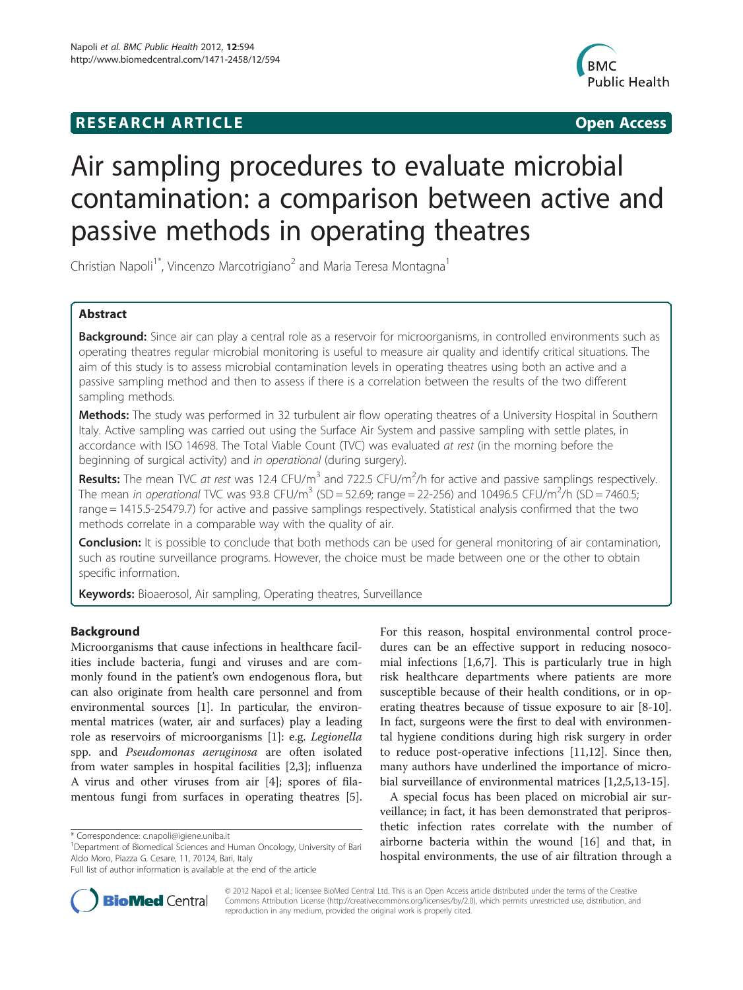## **RESEARCH ARTICLE Example 2014 12:30 The SEAR CHIPS 2014 12:30 The SEAR CHIPS 2014 12:30 The SEAR CHIPS 2014 12:30 The SEAR CHIPS 2014 12:30 The SEAR CHIPS 2014 12:30 THE SEARCH ARTICLE**



# Air sampling procedures to evaluate microbial contamination: a comparison between active and passive methods in operating theatres

Christian Napoli<sup>1\*</sup>, Vincenzo Marcotrigiano<sup>2</sup> and Maria Teresa Montagna<sup>1</sup>

## Abstract

Background: Since air can play a central role as a reservoir for microorganisms, in controlled environments such as operating theatres regular microbial monitoring is useful to measure air quality and identify critical situations. The aim of this study is to assess microbial contamination levels in operating theatres using both an active and a passive sampling method and then to assess if there is a correlation between the results of the two different sampling methods.

Methods: The study was performed in 32 turbulent air flow operating theatres of a University Hospital in Southern Italy. Active sampling was carried out using the Surface Air System and passive sampling with settle plates, in accordance with ISO 14698. The Total Viable Count (TVC) was evaluated at rest (in the morning before the beginning of surgical activity) and in operational (during surgery).

Results: The mean TVC at rest was 12.4 CFU/m<sup>3</sup> and 722.5 CFU/m<sup>2</sup>/h for active and passive samplings respectively. The mean in operational TVC was 93.8 CFU/m<sup>3</sup> (SD = 52.69; range = 22-256) and 10496.5 CFU/m<sup>2</sup>/h (SD = 7460.5; range = 1415.5-25479.7) for active and passive samplings respectively. Statistical analysis confirmed that the two methods correlate in a comparable way with the quality of air.

**Conclusion:** It is possible to conclude that both methods can be used for general monitoring of air contamination, such as routine surveillance programs. However, the choice must be made between one or the other to obtain specific information.

Keywords: Bioaerosol, Air sampling, Operating theatres, Surveillance

## Background

Microorganisms that cause infections in healthcare facilities include bacteria, fungi and viruses and are commonly found in the patient's own endogenous flora, but can also originate from health care personnel and from environmental sources [[1\]](#page-4-0). In particular, the environmental matrices (water, air and surfaces) play a leading role as reservoirs of microorganisms [[1\]](#page-4-0): e.g. Legionella spp. and Pseudomonas aeruginosa are often isolated from water samples in hospital facilities [[2,3\]](#page-4-0); influenza A virus and other viruses from air [[4\]](#page-4-0); spores of filamentous fungi from surfaces in operating theatres [\[5](#page-4-0)].

For this reason, hospital environmental control procedures can be an effective support in reducing nosocomial infections [\[1,6,7](#page-4-0)]. This is particularly true in high risk healthcare departments where patients are more susceptible because of their health conditions, or in operating theatres because of tissue exposure to air [[8-10](#page-4-0)]. In fact, surgeons were the first to deal with environmental hygiene conditions during high risk surgery in order to reduce post-operative infections [\[11,12\]](#page-4-0). Since then, many authors have underlined the importance of microbial surveillance of environmental matrices [\[1,2,5,13](#page-4-0)-[15\]](#page-4-0).

A special focus has been placed on microbial air surveillance; in fact, it has been demonstrated that periprosthetic infection rates correlate with the number of airborne bacteria within the wound [\[16\]](#page-4-0) and that, in hospital environments, the use of air filtration through a



© 2012 Napoli et al.; licensee BioMed Central Ltd. This is an Open Access article distributed under the terms of the Creative Commons Attribution License [\(http://creativecommons.org/licenses/by/2.0\)](http://creativecommons.org/licenses/by/2.0), which permits unrestricted use, distribution, and reproduction in any medium, provided the original work is properly cited.

<sup>\*</sup> Correspondence: [c.napoli@igiene.uniba.it](mailto:c.napoli@igiene.uniba.it) <sup>1</sup>

<sup>&</sup>lt;sup>1</sup>Department of Biomedical Sciences and Human Oncology, University of Bari Aldo Moro, Piazza G. Cesare, 11, 70124, Bari, Italy

Full list of author information is available at the end of the article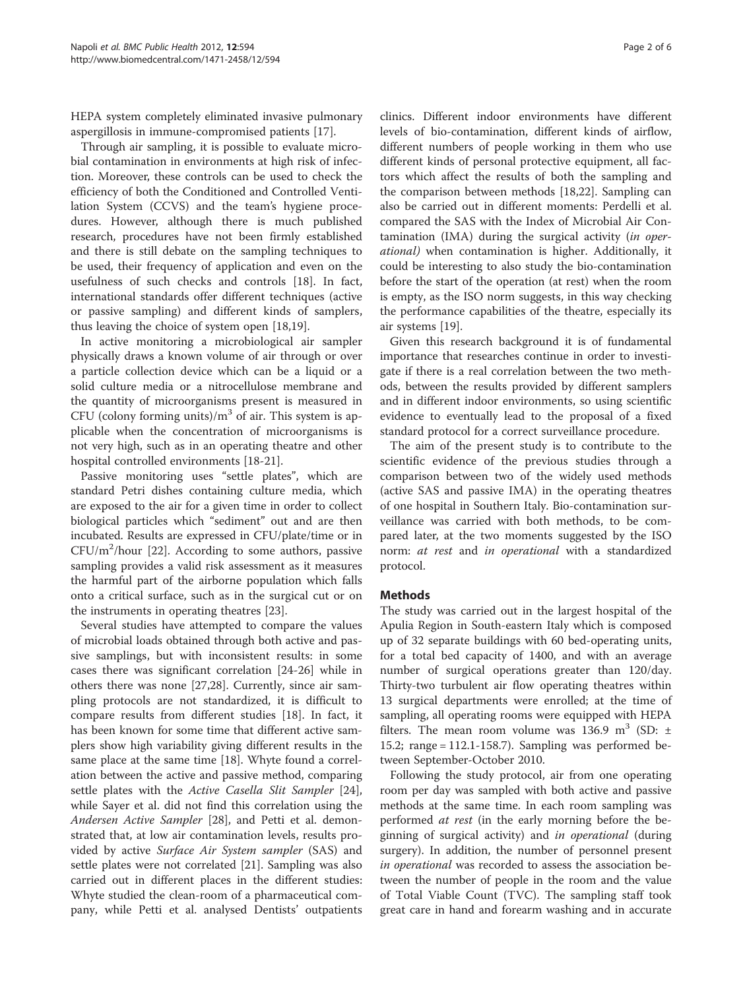HEPA system completely eliminated invasive pulmonary aspergillosis in immune-compromised patients [\[17](#page-4-0)].

Through air sampling, it is possible to evaluate microbial contamination in environments at high risk of infection. Moreover, these controls can be used to check the efficiency of both the Conditioned and Controlled Ventilation System (CCVS) and the team's hygiene procedures. However, although there is much published research, procedures have not been firmly established and there is still debate on the sampling techniques to be used, their frequency of application and even on the usefulness of such checks and controls [\[18](#page-4-0)]. In fact, international standards offer different techniques (active or passive sampling) and different kinds of samplers, thus leaving the choice of system open [\[18,19](#page-4-0)].

In active monitoring a microbiological air sampler physically draws a known volume of air through or over a particle collection device which can be a liquid or a solid culture media or a nitrocellulose membrane and the quantity of microorganisms present is measured in CFU (colony forming units)/ $m<sup>3</sup>$  of air. This system is applicable when the concentration of microorganisms is not very high, such as in an operating theatre and other hospital controlled environments [[18](#page-4-0)-[21\]](#page-4-0).

Passive monitoring uses "settle plates", which are standard Petri dishes containing culture media, which are exposed to the air for a given time in order to collect biological particles which "sediment" out and are then incubated. Results are expressed in CFU/plate/time or in  $CFU/m^2/h$ our [\[22](#page-4-0)]. According to some authors, passive sampling provides a valid risk assessment as it measures the harmful part of the airborne population which falls onto a critical surface, such as in the surgical cut or on the instruments in operating theatres [\[23](#page-4-0)].

Several studies have attempted to compare the values of microbial loads obtained through both active and passive samplings, but with inconsistent results: in some cases there was significant correlation [[24](#page-4-0)-[26\]](#page-4-0) while in others there was none [\[27,28](#page-4-0)]. Currently, since air sampling protocols are not standardized, it is difficult to compare results from different studies [\[18\]](#page-4-0). In fact, it has been known for some time that different active samplers show high variability giving different results in the same place at the same time [[18\]](#page-4-0). Whyte found a correlation between the active and passive method, comparing settle plates with the Active Casella Slit Sampler [\[24](#page-4-0)], while Sayer et al. did not find this correlation using the Andersen Active Sampler [\[28\]](#page-4-0), and Petti et al. demonstrated that, at low air contamination levels, results provided by active Surface Air System sampler (SAS) and settle plates were not correlated [\[21\]](#page-4-0). Sampling was also carried out in different places in the different studies: Whyte studied the clean-room of a pharmaceutical company, while Petti et al. analysed Dentists' outpatients

clinics. Different indoor environments have different levels of bio-contamination, different kinds of airflow, different numbers of people working in them who use different kinds of personal protective equipment, all factors which affect the results of both the sampling and the comparison between methods [[18,22\]](#page-4-0). Sampling can also be carried out in different moments: Perdelli et al. compared the SAS with the Index of Microbial Air Contamination (IMA) during the surgical activity (in operational) when contamination is higher. Additionally, it could be interesting to also study the bio-contamination before the start of the operation (at rest) when the room is empty, as the ISO norm suggests, in this way checking the performance capabilities of the theatre, especially its air systems [[19\]](#page-4-0).

Given this research background it is of fundamental importance that researches continue in order to investigate if there is a real correlation between the two methods, between the results provided by different samplers and in different indoor environments, so using scientific evidence to eventually lead to the proposal of a fixed standard protocol for a correct surveillance procedure.

The aim of the present study is to contribute to the scientific evidence of the previous studies through a comparison between two of the widely used methods (active SAS and passive IMA) in the operating theatres of one hospital in Southern Italy. Bio-contamination surveillance was carried with both methods, to be compared later, at the two moments suggested by the ISO norm: at rest and in operational with a standardized protocol.

## Methods

The study was carried out in the largest hospital of the Apulia Region in South-eastern Italy which is composed up of 32 separate buildings with 60 bed-operating units, for a total bed capacity of 1400, and with an average number of surgical operations greater than 120/day. Thirty-two turbulent air flow operating theatres within 13 surgical departments were enrolled; at the time of sampling, all operating rooms were equipped with HEPA filters. The mean room volume was 136.9 m<sup>3</sup> (SD:  $\pm$ 15.2; range = 112.1-158.7). Sampling was performed between September-October 2010.

Following the study protocol, air from one operating room per day was sampled with both active and passive methods at the same time. In each room sampling was performed at rest (in the early morning before the beginning of surgical activity) and in operational (during surgery). In addition, the number of personnel present in operational was recorded to assess the association between the number of people in the room and the value of Total Viable Count (TVC). The sampling staff took great care in hand and forearm washing and in accurate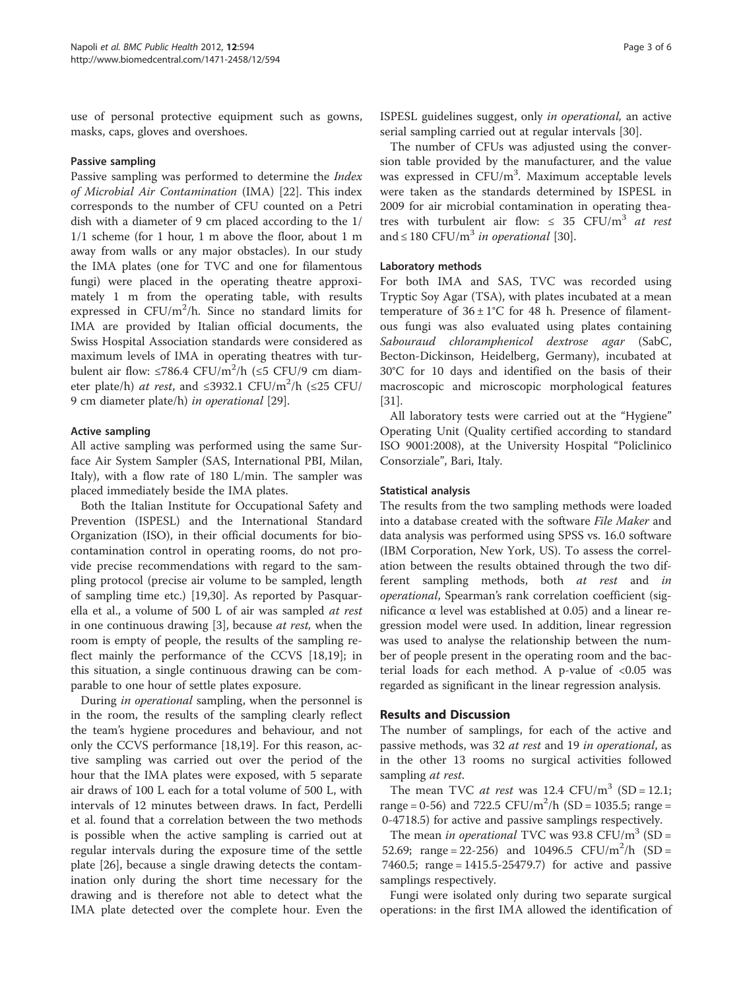use of personal protective equipment such as gowns, masks, caps, gloves and overshoes.

## Passive sampling

Passive sampling was performed to determine the Index of Microbial Air Contamination (IMA) [\[22\]](#page-4-0). This index corresponds to the number of CFU counted on a Petri dish with a diameter of 9 cm placed according to the 1/ 1/1 scheme (for 1 hour, 1 m above the floor, about 1 m away from walls or any major obstacles). In our study the IMA plates (one for TVC and one for filamentous fungi) were placed in the operating theatre approximately 1 m from the operating table, with results expressed in  $CFU/m^2/h$ . Since no standard limits for IMA are provided by Italian official documents, the Swiss Hospital Association standards were considered as maximum levels of IMA in operating theatres with turbulent air flow:  $\leq 786.4$  CFU/ $m^2/h$  ( $\leq 5$  CFU/9 cm diameter plate/h) *at rest*, and ≤3932.1 CFU/m<sup>2</sup>/h (≤25 CFU/ 9 cm diameter plate/h) in operational [\[29](#page-4-0)].

## Active sampling

All active sampling was performed using the same Surface Air System Sampler (SAS, International PBI, Milan, Italy), with a flow rate of 180 L/min. The sampler was placed immediately beside the IMA plates.

Both the Italian Institute for Occupational Safety and Prevention (ISPESL) and the International Standard Organization (ISO), in their official documents for biocontamination control in operating rooms, do not provide precise recommendations with regard to the sampling protocol (precise air volume to be sampled, length of sampling time etc.) [\[19](#page-4-0)[,30](#page-5-0)]. As reported by Pasquarella et al., a volume of 500 L of air was sampled at rest in one continuous drawing [\[3](#page-4-0)], because at rest, when the room is empty of people, the results of the sampling reflect mainly the performance of the CCVS [[18,19](#page-4-0)]; in this situation, a single continuous drawing can be comparable to one hour of settle plates exposure.

During in operational sampling, when the personnel is in the room, the results of the sampling clearly reflect the team's hygiene procedures and behaviour, and not only the CCVS performance [\[18,19](#page-4-0)]. For this reason, active sampling was carried out over the period of the hour that the IMA plates were exposed, with 5 separate air draws of 100 L each for a total volume of 500 L, with intervals of 12 minutes between draws. In fact, Perdelli et al. found that a correlation between the two methods is possible when the active sampling is carried out at regular intervals during the exposure time of the settle plate [[26\]](#page-4-0), because a single drawing detects the contamination only during the short time necessary for the drawing and is therefore not able to detect what the IMA plate detected over the complete hour. Even the ISPESL guidelines suggest, only in operational, an active serial sampling carried out at regular intervals [[30](#page-5-0)].

The number of CFUs was adjusted using the conversion table provided by the manufacturer, and the value was expressed in CFU/m<sup>3</sup>. Maximum acceptable levels were taken as the standards determined by ISPESL in 2009 for air microbial contamination in operating theatres with turbulent air flow:  $\leq$  35 CFU/m<sup>3</sup> at rest and  $\leq 180$  CFU/m<sup>3</sup> in operational [\[30\]](#page-5-0).

### Laboratory methods

For both IMA and SAS, TVC was recorded using Tryptic Soy Agar (TSA), with plates incubated at a mean temperature of  $36 \pm 1^{\circ}$ C for 48 h. Presence of filamentous fungi was also evaluated using plates containing Sabouraud chloramphenicol dextrose agar (SabC, Becton-Dickinson, Heidelberg, Germany), incubated at 30°C for 10 days and identified on the basis of their macroscopic and microscopic morphological features [[31\]](#page-5-0).

All laboratory tests were carried out at the "Hygiene" Operating Unit (Quality certified according to standard ISO 9001:2008), at the University Hospital "Policlinico Consorziale", Bari, Italy.

#### Statistical analysis

The results from the two sampling methods were loaded into a database created with the software File Maker and data analysis was performed using SPSS vs. 16.0 software (IBM Corporation, New York, US). To assess the correlation between the results obtained through the two different sampling methods, both at rest and in operational, Spearman's rank correlation coefficient (significance α level was established at 0.05) and a linear regression model were used. In addition, linear regression was used to analyse the relationship between the number of people present in the operating room and the bacterial loads for each method. A p-value of <0.05 was regarded as significant in the linear regression analysis.

## Results and Discussion

The number of samplings, for each of the active and passive methods, was 32 at rest and 19 in operational, as in the other 13 rooms no surgical activities followed sampling *at rest*.

The mean TVC *at rest* was  $12.4 \text{ CFU/m}^3 \text{ (SD = 12.1)}$ range = 0-56) and 722.5  $CFU/m^2/h$  (SD = 1035.5; range = 0-4718.5) for active and passive samplings respectively.

The mean in operational TVC was 93.8 CFU/ $m<sup>3</sup>$  (SD = 52.69; range = 22-256) and 10496.5  $CFU/m^2/h$  (SD = 7460.5; range = 1415.5-25479.7) for active and passive samplings respectively.

Fungi were isolated only during two separate surgical operations: in the first IMA allowed the identification of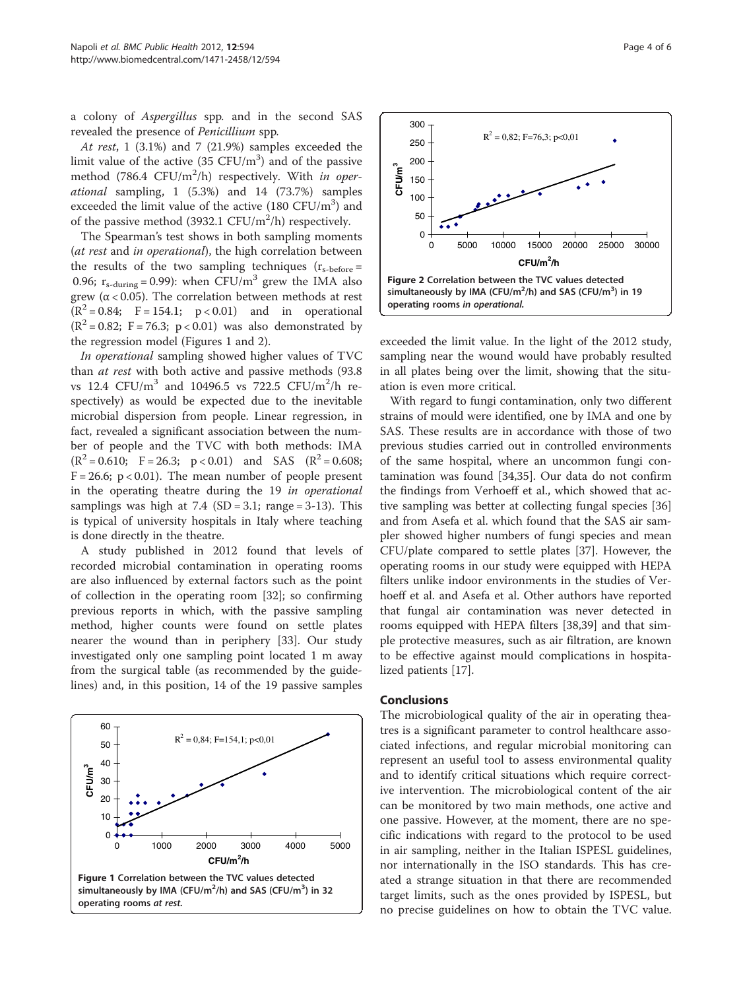a colony of Aspergillus spp. and in the second SAS revealed the presence of Penicillium spp.

At rest, 1 (3.1%) and 7 (21.9%) samples exceeded the limit value of the active  $(35 \text{ CFU/m}^3)$  and of the passive method (786.4  $CFU/m^2/h$ ) respectively. With in operational sampling, 1 (5.3%) and 14 (73.7%) samples exceeded the limit value of the active  $(180 \text{ CFU/m}^3)$  and of the passive method (3932.1  $CFU/m^2/h$ ) respectively.

The Spearman's test shows in both sampling moments (at rest and in operational), the high correlation between the results of the two sampling techniques  $(r_{s\text{-before}} =$ 0.96;  $r_{s\text{-during}} = 0.99$ ): when CFU/m<sup>3</sup> grew the IMA also grew ( $\alpha$  < 0.05). The correlation between methods at rest  $(R^2 = 0.84; F = 154.1; p < 0.01)$  and in operational  $(R^2 = 0.82; F = 76.3; p < 0.01)$  was also demonstrated by the regression model (Figures 1 and 2).

In operational sampling showed higher values of TVC than at rest with both active and passive methods (93.8 vs 12.4  $CFU/m^3$  and 10496.5 vs 722.5  $CFU/m^2/h$  respectively) as would be expected due to the inevitable microbial dispersion from people. Linear regression, in fact, revealed a significant association between the number of people and the TVC with both methods: IMA  $(R^{2} = 0.610; F = 26.3; p < 0.01)$  and SAS  $(R^{2} = 0.608;$  $F = 26.6$ ;  $p < 0.01$ ). The mean number of people present in the operating theatre during the 19 in operational samplings was high at  $7.4$  (SD = 3.1; range = 3-13). This is typical of university hospitals in Italy where teaching is done directly in the theatre.

A study published in 2012 found that levels of recorded microbial contamination in operating rooms are also influenced by external factors such as the point of collection in the operating room [[32](#page-5-0)]; so confirming previous reports in which, with the passive sampling method, higher counts were found on settle plates nearer the wound than in periphery [[33](#page-5-0)]. Our study investigated only one sampling point located 1 m away from the surgical table (as recommended by the guidelines) and, in this position, 14 of the 19 passive samples





exceeded the limit value. In the light of the 2012 study, sampling near the wound would have probably resulted in all plates being over the limit, showing that the situation is even more critical.

With regard to fungi contamination, only two different strains of mould were identified, one by IMA and one by SAS. These results are in accordance with those of two previous studies carried out in controlled environments of the same hospital, where an uncommon fungi contamination was found [[34](#page-5-0),[35](#page-5-0)]. Our data do not confirm the findings from Verhoeff et al., which showed that active sampling was better at collecting fungal species [[36](#page-5-0)] and from Asefa et al. which found that the SAS air sampler showed higher numbers of fungi species and mean CFU/plate compared to settle plates [\[37](#page-5-0)]. However, the operating rooms in our study were equipped with HEPA filters unlike indoor environments in the studies of Verhoeff et al. and Asefa et al. Other authors have reported that fungal air contamination was never detected in rooms equipped with HEPA filters [\[38,39\]](#page-5-0) and that simple protective measures, such as air filtration, are known to be effective against mould complications in hospitalized patients [[17\]](#page-4-0).

## Conclusions

The microbiological quality of the air in operating theatres is a significant parameter to control healthcare associated infections, and regular microbial monitoring can represent an useful tool to assess environmental quality and to identify critical situations which require corrective intervention. The microbiological content of the air can be monitored by two main methods, one active and one passive. However, at the moment, there are no specific indications with regard to the protocol to be used in air sampling, neither in the Italian ISPESL guidelines, nor internationally in the ISO standards. This has created a strange situation in that there are recommended target limits, such as the ones provided by ISPESL, but no precise guidelines on how to obtain the TVC value.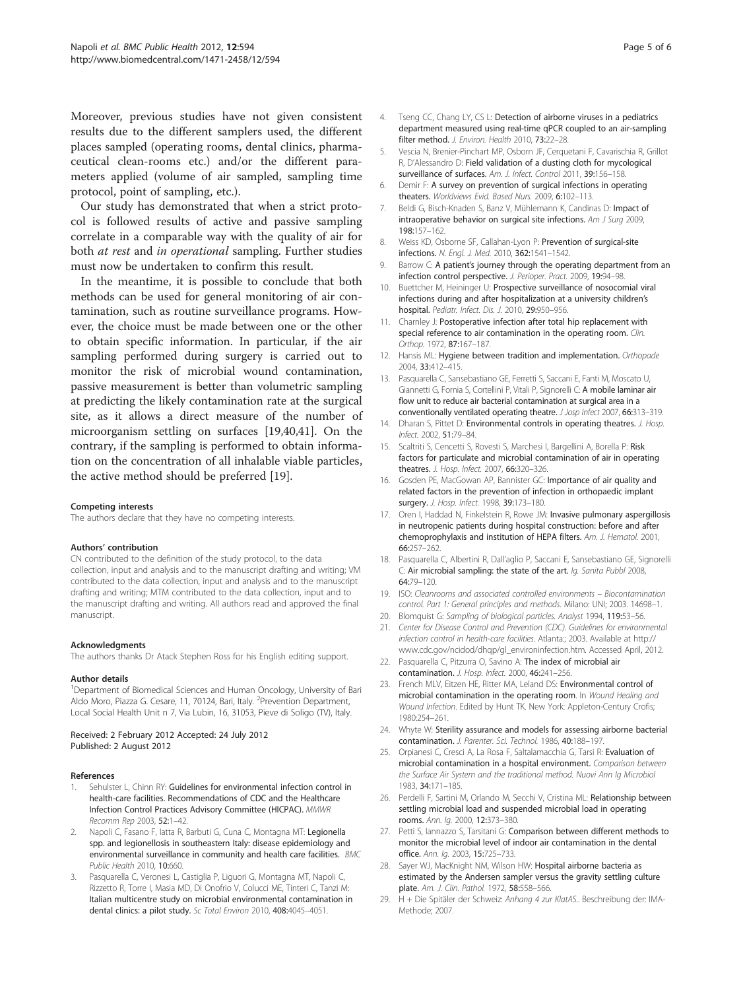<span id="page-4-0"></span>Moreover, previous studies have not given consistent results due to the different samplers used, the different places sampled (operating rooms, dental clinics, pharmaceutical clean-rooms etc.) and/or the different parameters applied (volume of air sampled, sampling time protocol, point of sampling, etc.).

Our study has demonstrated that when a strict protocol is followed results of active and passive sampling correlate in a comparable way with the quality of air for both at rest and in operational sampling. Further studies must now be undertaken to confirm this result.

In the meantime, it is possible to conclude that both methods can be used for general monitoring of air contamination, such as routine surveillance programs. However, the choice must be made between one or the other to obtain specific information. In particular, if the air sampling performed during surgery is carried out to monitor the risk of microbial wound contamination, passive measurement is better than volumetric sampling at predicting the likely contamination rate at the surgical site, as it allows a direct measure of the number of microorganism settling on surfaces [19[,40,41\]](#page-5-0). On the contrary, if the sampling is performed to obtain information on the concentration of all inhalable viable particles, the active method should be preferred [19].

#### Competing interests

The authors declare that they have no competing interests.

#### Authors' contribution

CN contributed to the definition of the study protocol, to the data collection, input and analysis and to the manuscript drafting and writing; VM contributed to the data collection, input and analysis and to the manuscript drafting and writing; MTM contributed to the data collection, input and to the manuscript drafting and writing. All authors read and approved the final manuscript.

#### Acknowledgments

The authors thanks Dr Atack Stephen Ross for his English editing support.

#### Author details

<sup>1</sup>Department of Biomedical Sciences and Human Oncology, University of Bari Aldo Moro, Piazza G. Cesare, 11, 70124, Bari, Italy. <sup>2</sup>Prevention Department, Local Social Health Unit n 7, Via Lubin, 16, 31053, Pieve di Soligo (TV), Italy.

#### Received: 2 February 2012 Accepted: 24 July 2012 Published: 2 August 2012

#### References

- Sehulster L, Chinn RY: Guidelines for environmental infection control in health-care facilities. Recommendations of CDC and the Healthcare Infection Control Practices Advisory Committee (HICPAC). MMWR Recomm Rep 2003, 52:1–42.
- 2. Napoli C, Fasano F, latta R, Barbuti G, Cuna C, Montagna MT: Legionella spp. and legionellosis in southeastern Italy: disease epidemiology and environmental surveillance in community and health care facilities. BMC Public Health 2010, 10:660.
- Pasquarella C, Veronesi L, Castiglia P, Liguori G, Montagna MT, Napoli C, Rizzetto R, Torre I, Masia MD, Di Onofrio V, Colucci ME, Tinteri C, Tanzi M: Italian multicentre study on microbial environmental contamination in dental clinics: a pilot study. Sc Total Environ 2010, 408:4045–4051.
- 4. Tseng CC, Chang LY, CS L: Detection of airborne viruses in a pediatrics department measured using real-time qPCR coupled to an air-sampling filter method. J. Environ. Health 2010, 73:22-28.
- 5. Vescia N, Brenier-Pinchart MP, Osborn JF, Cerquetani F, Cavarischia R, Grillot R, D'Alessandro D: Field validation of a dusting cloth for mycological surveillance of surfaces. Am. J. Infect. Control 2011, 39:156-158.
- 6. Demir F: A survey on prevention of surgical infections in operating theaters. Worldviews Evid. Based Nurs. 2009, 6:102-113.
- 7. Beldi G, Bisch-Knaden S, Banz V, Mühlemann K, Candinas D: Impact of intraoperative behavior on surgical site infections. Am J Surg 2009, 198:157–162.
- 8. Weiss KD, Osborne SF, Callahan-Lyon P: Prevention of surgical-site infections. N. Engl. J. Med. 2010, 362:1541–1542.
- 9. Barrow C: A patient's journey through the operating department from an infection control perspective. J. Perioper. Pract. 2009, 19:94–98.
- 10. Buettcher M, Heininger U: Prospective surveillance of nosocomial viral infections during and after hospitalization at a university children's hospital. Pediatr. Infect. Dis. J. 2010, 29:950–956.
- 11. Charnley J: Postoperative infection after total hip replacement with special reference to air contamination in the operating room. Clin. Orthop. 1972, 87:167–187.
- 12. Hansis ML: Hygiene between tradition and implementation. Orthopade 2004, 33:412–415.
- 13. Pasquarella C, Sansebastiano GE, Ferretti S, Saccani E, Fanti M, Moscato U, Giannetti G, Fornia S, Cortellini P, Vitali P, Signorelli C: A mobile laminar air flow unit to reduce air bacterial contamination at surgical area in a conventionally ventilated operating theatre. J Josp Infect 2007, 66:313-319.
- 14. Dharan S, Pittet D: Environmental controls in operating theatres. J. Hosp. Infect. 2002, 51:79–84.
- 15. Scaltriti S, Cencetti S, Rovesti S, Marchesi I, Bargellini A, Borella P: Risk factors for particulate and microbial contamination of air in operating theatres. J. Hosp. Infect. 2007, 66:320–326.
- 16. Gosden PE, MacGowan AP, Bannister GC: Importance of air quality and related factors in the prevention of infection in orthopaedic implant surgery. J. Hosp. Infect. 1998, 39:173-180.
- 17. Oren I, Haddad N, Finkelstein R, Rowe JM: Invasive pulmonary aspergillosis in neutropenic patients during hospital construction: before and after chemoprophylaxis and institution of HEPA filters. Am. J. Hematol. 2001, 66:257–262.
- 18. Pasquarella C, Albertini R, Dall'aglio P, Saccani E, Sansebastiano GE, Signorelli C: Air microbial sampling: the state of the art. Ig. Sanita Pubbl 2008, 64:79–120.
- 19. ISO: Cleanrooms and associated controlled environments Biocontamination control. Part 1: General principles and methods. Milano: UNI; 2003. 14698–1.
- 20. Blomquist G: Sampling of biological particles. Analyst 1994, 119:53–56.
- 21. Center for Disease Control and Prevention (CDC). Guidelines for environmental infection control in health-care facilities. Atlanta:; 2003. Available at http:// www.cdc.gov/ncidod/dhqp/gl\_environinfection.htm. Accessed April, 2012.
- 22. Pasquarella C, Pitzurra O, Savino A: The index of microbial air contamination. J. Hosp. Infect. 2000, 46:241–256.
- 23. French MLV, Eitzen HE, Ritter MA, Leland DS: Environmental control of microbial contamination in the operating room. In Wound Healing and Wound Infection. Edited by Hunt TK. New York: Appleton-Century Crofis; 1980:254–261.
- 24. Whyte W: Sterility assurance and models for assessing airborne bacterial contamination. J. Parenter. Sci. Technol. 1986, 40:188–197.
- 25. Orpianesi C, Cresci A, La Rosa F, Saltalamacchia G, Tarsi R: Evaluation of microbial contamination in a hospital environment. Comparison between the Surface Air System and the traditional method. Nuovi Ann Ig Microbiol 1983, 34:171–185.
- 26. Perdelli F, Sartini M, Orlando M, Secchi V, Cristina ML: Relationship between settling microbial load and suspended microbial load in operating rooms. Ann. Ig. 2000, 12:373–380.
- 27. Petti S, Iannazzo S, Tarsitani G: Comparison between different methods to monitor the microbial level of indoor air contamination in the dental office. Ann. Ig. 2003, 15:725–733.
- 28. Sayer WJ, MacKnight NM, Wilson HW: Hospital airborne bacteria as estimated by the Andersen sampler versus the gravity settling culture plate. Am. J. Clin. Pathol. 1972, 58:558–566.
- 29. H + Die Spitäler der Schweiz: Anhang 4 zur KlatAS.. Beschreibung der: IMA-Methode; 2007.